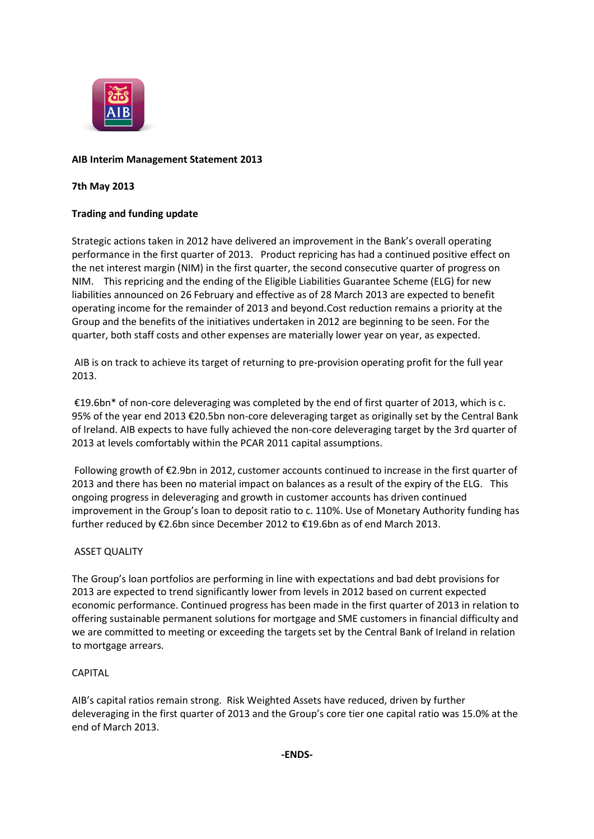

# **AIB Interim Management Statement 2013**

## **7th May 2013**

# **Trading and funding update**

Strategic actions taken in 2012 have delivered an improvement in the Bank's overall operating performance in the first quarter of 2013. Product repricing has had a continued positive effect on the net interest margin (NIM) in the first quarter, the second consecutive quarter of progress on NIM. This repricing and the ending of the Eligible Liabilities Guarantee Scheme (ELG) for new liabilities announced on 26 February and effective as of 28 March 2013 are expected to benefit operating income for the remainder of 2013 and beyond.Cost reduction remains a priority at the Group and the benefits of the initiatives undertaken in 2012 are beginning to be seen. For the quarter, both staff costs and other expenses are materially lower year on year, as expected.

AIB is on track to achieve its target of returning to pre-provision operating profit for the full year 2013.

€19.6bn\* of non-core deleveraging was completed by the end of first quarter of 2013, which is c. 95% of the year end 2013 €20.5bn non-core deleveraging target as originally set by the Central Bank of Ireland. AIB expects to have fully achieved the non-core deleveraging target by the 3rd quarter of 2013 at levels comfortably within the PCAR 2011 capital assumptions.

Following growth of €2.9bn in 2012, customer accounts continued to increase in the first quarter of 2013 and there has been no material impact on balances as a result of the expiry of the ELG. This ongoing progress in deleveraging and growth in customer accounts has driven continued improvement in the Group's loan to deposit ratio to c. 110%. Use of Monetary Authority funding has further reduced by €2.6bn since December 2012 to €19.6bn as of end March 2013.

### ASSET QUALITY

The Group's loan portfolios are performing in line with expectations and bad debt provisions for 2013 are expected to trend significantly lower from levels in 2012 based on current expected economic performance. Continued progress has been made in the first quarter of 2013 in relation to offering sustainable permanent solutions for mortgage and SME customers in financial difficulty and we are committed to meeting or exceeding the targets set by the Central Bank of Ireland in relation to mortgage arrears.

### CAPITAL

AIB's capital ratios remain strong. Risk Weighted Assets have reduced, driven by further deleveraging in the first quarter of 2013 and the Group's core tier one capital ratio was 15.0% at the end of March 2013.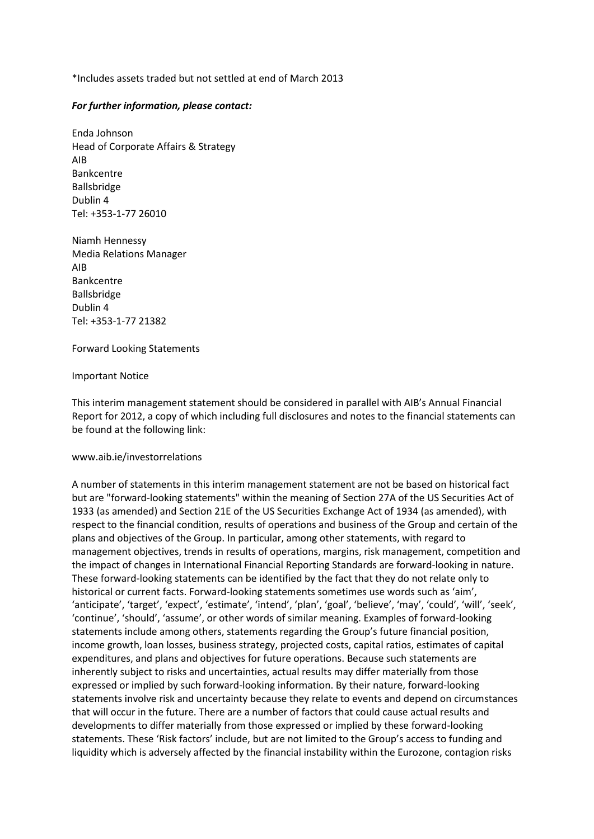\*Includes assets traded but not settled at end of March 2013

#### *For further information, please contact:*

Enda Johnson Head of Corporate Affairs & Strategy AIB Bankcentre Ballsbridge Dublin 4 Tel: +353-1-77 26010

Niamh Hennessy Media Relations Manager AIB Bankcentre Ballsbridge Dublin 4 Tel: +353-1-77 21382

Forward Looking Statements

Important Notice

This interim management statement should be considered in parallel with AIB's Annual Financial Report for 2012, a copy of which including full disclosures and notes to the financial statements can be found at the following link:

#### www.aib.ie/investorrelations

A number of statements in this interim management statement are not be based on historical fact but are "forward-looking statements" within the meaning of Section 27A of the US Securities Act of 1933 (as amended) and Section 21E of the US Securities Exchange Act of 1934 (as amended), with respect to the financial condition, results of operations and business of the Group and certain of the plans and objectives of the Group. In particular, among other statements, with regard to management objectives, trends in results of operations, margins, risk management, competition and the impact of changes in International Financial Reporting Standards are forward-looking in nature. These forward-looking statements can be identified by the fact that they do not relate only to historical or current facts. Forward-looking statements sometimes use words such as 'aim', 'anticipate', 'target', 'expect', 'estimate', 'intend', 'plan', 'goal', 'believe', 'may', 'could', 'will', 'seek', 'continue', 'should', 'assume', or other words of similar meaning. Examples of forward-looking statements include among others, statements regarding the Group's future financial position, income growth, loan losses, business strategy, projected costs, capital ratios, estimates of capital expenditures, and plans and objectives for future operations. Because such statements are inherently subject to risks and uncertainties, actual results may differ materially from those expressed or implied by such forward-looking information. By their nature, forward-looking statements involve risk and uncertainty because they relate to events and depend on circumstances that will occur in the future. There are a number of factors that could cause actual results and developments to differ materially from those expressed or implied by these forward-looking statements. These 'Risk factors' include, but are not limited to the Group's access to funding and liquidity which is adversely affected by the financial instability within the Eurozone, contagion risks